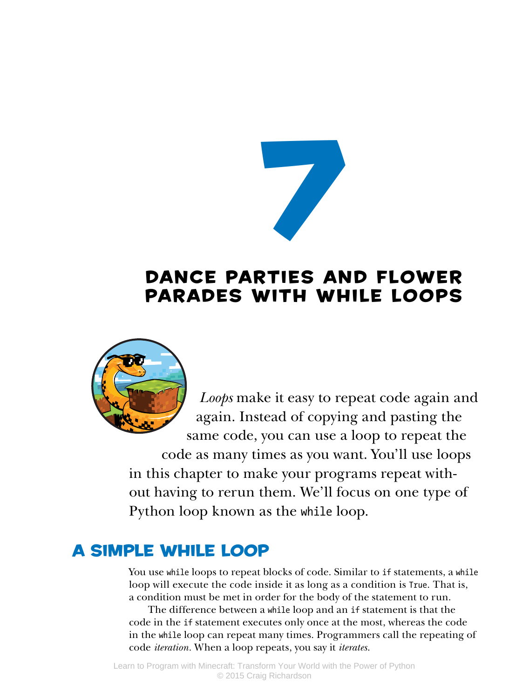# 7 DANCE PARTIES AND FLOWER Parades with while Loops



*Loops* make it easy to repeat code again and again. Instead of copying and pasting the same code, you can use a loop to repeat the

code as many times as you want. You'll use loops in this chapter to make your programs repeat without having to rerun them. We'll focus on one type of Python loop known as the while loop.

# A Simple while Loop

You use while loops to repeat blocks of code. Similar to if statements, a while loop will execute the code inside it as long as a condition is True. That is, a condition must be met in order for the body of the statement to run.

The difference between a while loop and an if statement is that the code in the if statement executes only once at the most, whereas the code in the while loop can repeat many times. Programmers call the repeating of code *iteration.* When a loop repeats, you say it *iterates*.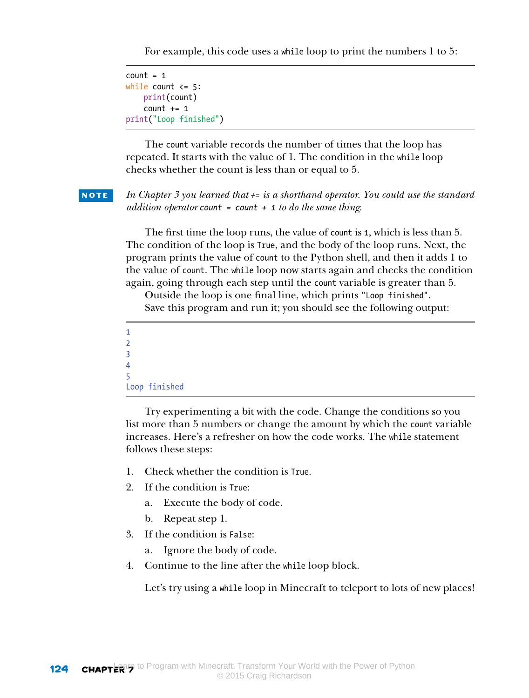For example, this code uses a while loop to print the numbers 1 to 5:

```
count = 1while count \leq 5:
     print(count)
    count += 1print("Loop finished")
```
The count variable records the number of times that the loop has repeated. It starts with the value of 1. The condition in the while loop checks whether the count is less than or equal to 5.

**Note** *In Chapter 3 you learned that += is a shorthand operator. You could use the standard addition operator count = count + 1 to do the same thing.* 

> The first time the loop runs, the value of count is 1, which is less than 5. The condition of the loop is True, and the body of the loop runs. Next, the program prints the value of count to the Python shell, and then it adds 1 to the value of count. The while loop now starts again and checks the condition again, going through each step until the count variable is greater than 5.

Outside the loop is one final line, which prints "Loop finished". Save this program and run it; you should see the following output:

```
1 
2
3
4
5 
Loop finished
```
Try experimenting a bit with the code. Change the conditions so you list more than 5 numbers or change the amount by which the count variable increases. Here's a refresher on how the code works. The while statement follows these steps:

- 1. Check whether the condition is True.
- 2. If the condition is True:
	- a. Execute the body of code.
	- b. Repeat step 1.
- 3. If the condition is False:
	- a. Ignore the body of code.
- 4. Continue to the line after the while loop block.

Let's try using a while loop in Minecraft to teleport to lots of new places!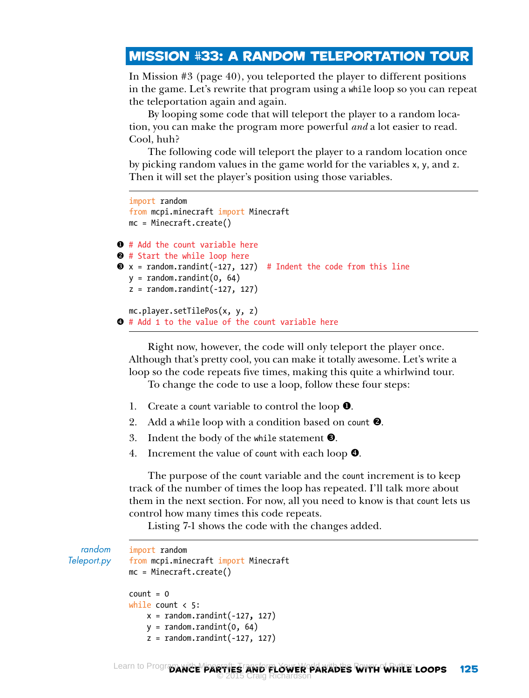#### Mission #33: A Random Teleportation Tour

In Mission #3 (page 40), you teleported the player to different positions in the game. Let's rewrite that program using a while loop so you can repeat the teleportation again and again.

By looping some code that will teleport the player to a random location, you can make the program more powerful *and* a lot easier to read. Cool, huh?

The following code will teleport the player to a random location once by picking random values in the game world for the variables x, y, and z. Then it will set the player's position using those variables.

```
import random
  from mcpi.minecraft import Minecraft
  mc = Minecraft.create()
\bullet # Add the count variable here
\Theta # Start the while loop here
\bullet x = random.randint(-127, 127) # Indent the code from this line
  y = random.random(0, 64)z = random.random(-127, 127)mc.player.setTilePos(x, y, z)
\bullet # Add 1 to the value of the count variable here
```
Right now, however, the code will only teleport the player once. Although that's pretty cool, you can make it totally awesome. Let's write a loop so the code repeats five times, making this quite a whirlwind tour.

To change the code to use a loop, follow these four steps:

- 1. Create a count variable to control the loop  $\bullet$ .
- 2. Add a while loop with a condition based on count  $\bullet$ .
- 3. Indent the body of the while statement  $\bullet$ .
- 4. Increment the value of count with each loop  $\bullet$ .

The purpose of the count variable and the count increment is to keep track of the number of times the loop has repeated. I'll talk more about them in the next section. For now, all you need to know is that count lets us control how many times this code repeats.

Listing 7-1 shows the code with the changes added.

```
import random
             from mcpi.minecraft import Minecraft
             mc = Minecraft.create()
             count = 0while count \langle 5: x = random.randint(-127, 127)
                  y = random.random(0, 64)z = random.random( -127, 127)random
Teleport.py
```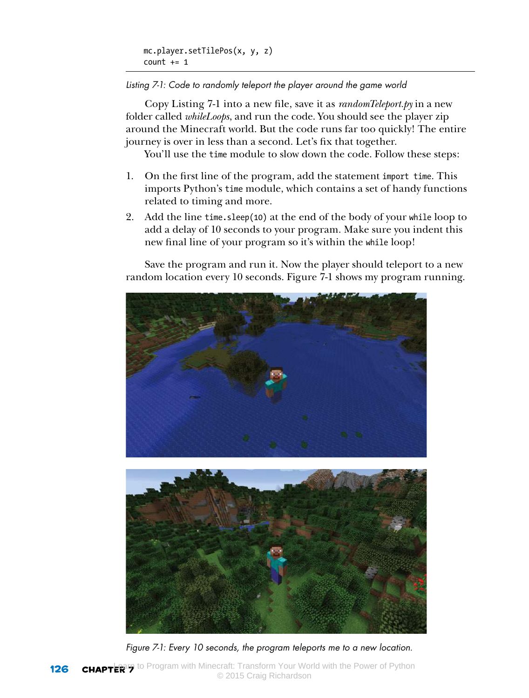```
 mc.player.setTilePos(x, y, z)
count += 1
```
*Listing 7-1: Code to randomly teleport the player around the game world*

Copy Listing 7-1 into a new file, save it as *randomTeleport.py* in a new folder called *whileLoops*, and run the code. You should see the player zip around the Minecraft world. But the code runs far too quickly! The entire journey is over in less than a second. Let's fix that together.

You'll use the time module to slow down the code. Follow these steps:

- 1. On the first line of the program, add the statement import time. This imports Python's time module, which contains a set of handy functions related to timing and more.
- 2. Add the line time.sleep(10) at the end of the body of your while loop to add a delay of 10 seconds to your program. Make sure you indent this new final line of your program so it's within the while loop!

Save the program and run it. Now the player should teleport to a new random location every 10 seconds. Figure 7-1 shows my program running.



*Figure 7-1: Every 10 seconds, the program teleports me to a new location.*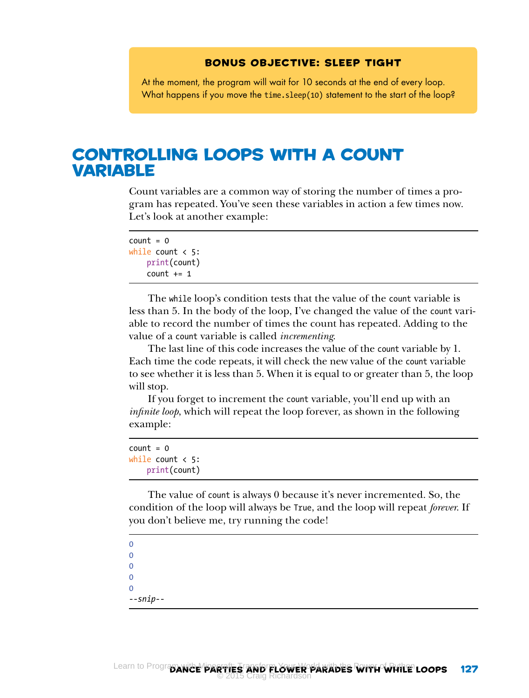#### BONUS OBJECTIVE: SLEEP TIGHT

At the moment, the program will wait for 10 seconds at the end of every loop. What happens if you move the time. sleep(10) statement to the start of the loop?

# Controlling Loops with a Count **VARIABLE**

Count variables are a common way of storing the number of times a program has repeated. You've seen these variables in action a few times now. Let's look at another example:

```
count = 0while count < 5:
    print(count)
    count += 1
```
The while loop's condition tests that the value of the count variable is less than 5. In the body of the loop, I've changed the value of the count variable to record the number of times the count has repeated. Adding to the value of a count variable is called *incrementing*.

The last line of this code increases the value of the count variable by 1. Each time the code repeats, it will check the new value of the count variable to see whether it is less than 5. When it is equal to or greater than 5, the loop will stop.

If you forget to increment the count variable, you'll end up with an *infinite loop*, which will repeat the loop forever, as shown in the following example:

| count = 0           |  |  |
|---------------------|--|--|
| while count $< 5$ : |  |  |
| print(count)        |  |  |

The value of count is always 0 because it's never incremented. So, the condition of the loop will always be True, and the loop will repeat *forever*. If you don't believe me, try running the code!

```
0
0
\Omega\Omega\Omega--snip--
```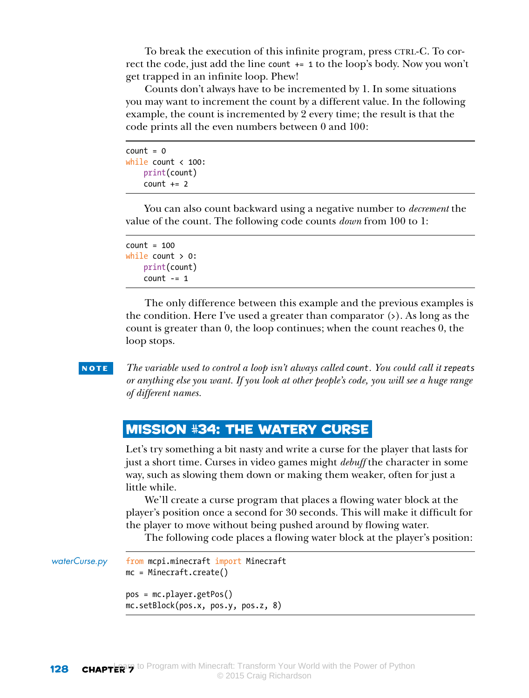To break the execution of this infinite program, press CTRL-C. To correct the code, just add the line count += 1 to the loop's body. Now you won't get trapped in an infinite loop. Phew!

Counts don't always have to be incremented by 1. In some situations you may want to increment the count by a different value. In the following example, the count is incremented by 2 every time; the result is that the code prints all the even numbers between 0 and 100:

```
count = 0while count \langle 100:
     print(count)
    count += 2
```
You can also count backward using a negative number to *decrement* the value of the count. The following code counts *down* from 100 to 1:

```
count = 100
while count > 0:
     print(count)
    count -= 1
```
The only difference between this example and the previous examples is the condition. Here I've used a greater than comparator  $(\cdot)$ . As long as the count is greater than 0, the loop continues; when the count reaches 0, the loop stops.

**Note** *The variable used to control a loop isn't always called count. You could call it repeats or anything else you want. If you look at other people's code, you will see a huge range of different names.*

### Mission #34: The Watery Curse

Let's try something a bit nasty and write a curse for the player that lasts for just a short time. Curses in video games might *debuff* the character in some way, such as slowing them down or making them weaker, often for just a little while.

We'll create a curse program that places a flowing water block at the player's position once a second for 30 seconds. This will make it difficult for the player to move without being pushed around by flowing water.

The following code places a flowing water block at the player's position:

```
waterCurse.py
```

```
from mcpi.minecraft import Minecraft
mc = Minecraft.create()
```

```
pos = mc.player.getPos()
mc.setBlock(pos.x, pos.y, pos.z, 8)
```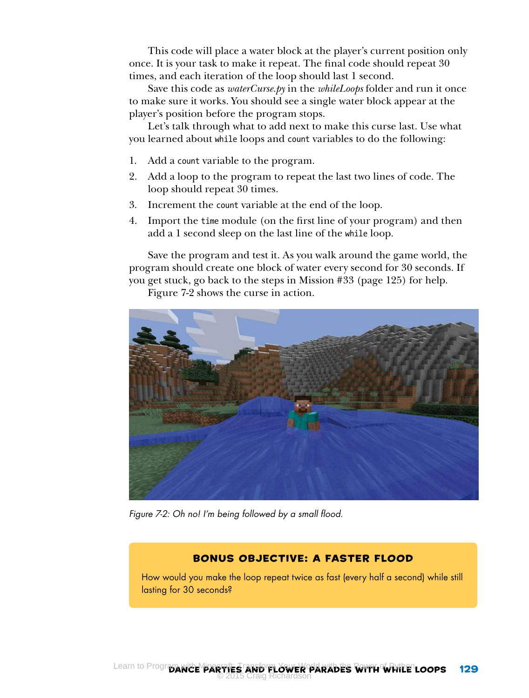This code will place a water block at the player's current position only once. It is your task to make it repeat. The final code should repeat 30 times, and each iteration of the loop should last 1 second.

Save this code as *waterCurse.py* in the *whileLoops* folder and run it once to make sure it works. You should see a single water block appear at the player's position before the program stops.

Let's talk through what to add next to make this curse last. Use what you learned about while loops and count variables to do the following:

- 1. Add a count variable to the program.
- 2. Add a loop to the program to repeat the last two lines of code. The loop should repeat 30 times.
- 3. Increment the count variable at the end of the loop.
- 4. Import the time module (on the first line of your program) and then add a 1 second sleep on the last line of the while loop.

Save the program and test it. As you walk around the game world, the program should create one block of water every second for 30 seconds. If you get stuck, go back to the steps in Mission #33 (page 125) for help.

Figure 7-2 shows the curse in action.



*Figure 7-2: Oh no! I'm being followed by a small flood.*

#### BONUS OBJECTIVE: A FASTER FLOOD

How would you make the loop repeat twice as fast (every half a second) while still lasting for 30 seconds?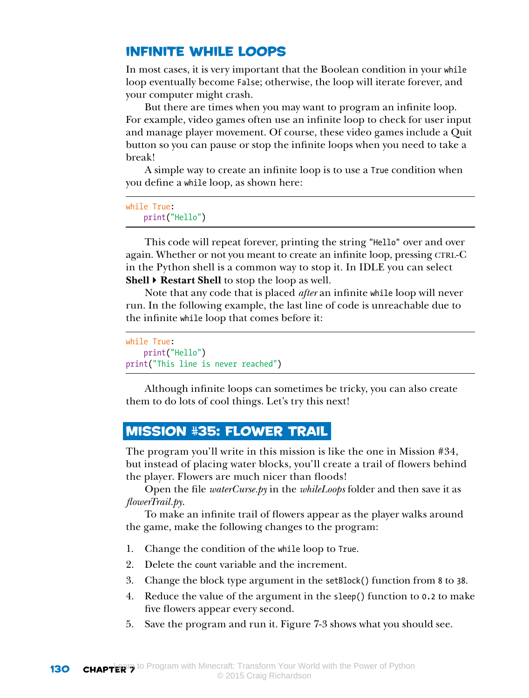#### Infinite while Loops

In most cases, it is very important that the Boolean condition in your while loop eventually become False; otherwise, the loop will iterate forever, and your computer might crash.

But there are times when you may want to program an infinite loop. For example, video games often use an infinite loop to check for user input and manage player movement. Of course, these video games include a Quit button so you can pause or stop the infinite loops when you need to take a break!

A simple way to create an infinite loop is to use a True condition when you define a while loop, as shown here:

```
while True:
     print("Hello")
```
This code will repeat forever, printing the string "Hello" over and over again. Whether or not you meant to create an infinite loop, pressing CTRL-C in the Python shell is a common way to stop it. In IDLE you can select **Shell ▶ Restart Shell** to stop the loop as well.

Note that any code that is placed *after* an infinite while loop will never run. In the following example, the last line of code is unreachable due to the infinite while loop that comes before it:

```
while True:
     print("Hello")
print("This line is never reached")
```
Although infinite loops can sometimes be tricky, you can also create them to do lots of cool things. Let's try this next!

#### Mission #35: Flower Trail

The program you'll write in this mission is like the one in Mission #34, but instead of placing water blocks, you'll create a trail of flowers behind the player. Flowers are much nicer than floods!

Open the file *waterCurse.py* in the *whileLoops* folder and then save it as *flowerTrail.py*.

To make an infinite trail of flowers appear as the player walks around the game, make the following changes to the program:

- 1. Change the condition of the while loop to True.
- 2. Delete the count variable and the increment.
- 3. Change the block type argument in the setBlock() function from 8 to 38.
- 4. Reduce the value of the argument in the sleep() function to 0.2 to make five flowers appear every second.
- 5. Save the program and run it. Figure 7-3 shows what you should see.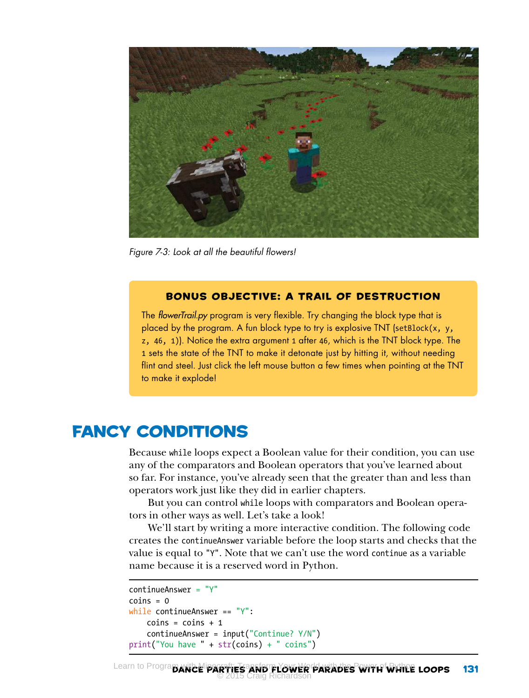

*Figure 7-3: Look at all the beautiful flowers!*

#### BONUS OBJECTIVE: A TRAIL OF DESTRUCTION

The *flowerTrail.py* program is very flexible. Try changing the block type that is placed by the program. A fun block type to try is explosive TNT (setBlock(x, y, z, 46, 1)). Notice the extra argument 1 after 46, which is the TNT block type. The 1 sets the state of the TNT to make it detonate just by hitting it, without needing flint and steel. Just click the left mouse button a few times when pointing at the TNT to make it explode!

# Fancy Conditions

Because while loops expect a Boolean value for their condition, you can use any of the comparators and Boolean operators that you've learned about so far. For instance, you've already seen that the greater than and less than operators work just like they did in earlier chapters.

But you can control while loops with comparators and Boolean operators in other ways as well. Let's take a look!

We'll start by writing a more interactive condition. The following code creates the continueAnswer variable before the loop starts and checks that the value is equal to "Y". Note that we can't use the word continue as a variable name because it is a reserved word in Python.

```
continueAnswer = "Y"
coins = 0while continueAnswer == "Y":
    coins = coins + 1 continueAnswer = input("Continue? Y/N")
print("You have " + str(coins) + " coins")
```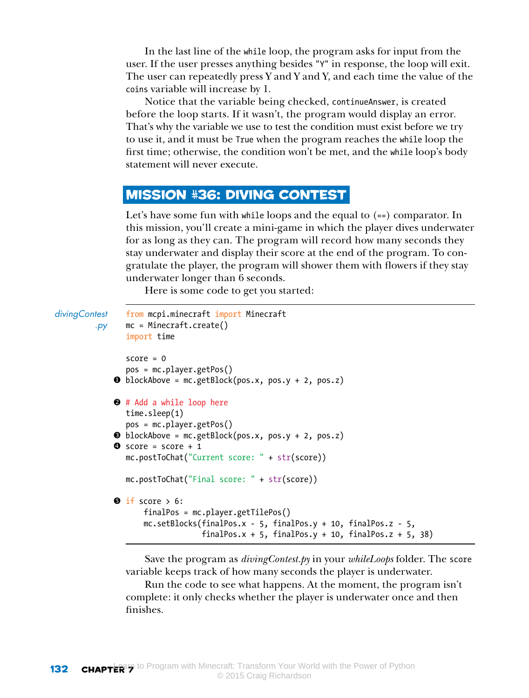In the last line of the while loop, the program asks for input from the user. If the user presses anything besides "Y" in response, the loop will exit. The user can repeatedly press Y and Y and Y, and each time the value of the coins variable will increase by 1.

Notice that the variable being checked, continueAnswer, is created before the loop starts. If it wasn't, the program would display an error. That's why the variable we use to test the condition must exist before we try to use it, and it must be True when the program reaches the while loop the first time; otherwise, the condition won't be met, and the while loop's body statement will never execute.

#### Mission #36: Diving Contest

Let's have some fun with while loops and the equal to  $(==)$  comparator. In this mission, you'll create a mini-game in which the player dives underwater for as long as they can. The program will record how many seconds they stay underwater and display their score at the end of the program. To congratulate the player, the program will shower them with flowers if they stay underwater longer than 6 seconds.

Here is some code to get you started:

```
from mcpi.minecraft import Minecraft
                mc = Minecraft.create()
                import time
                score = 0pos = mc.player.getPos()
              \bullet blockAbove = mc.getBlock(pos.x, pos.y + 2, pos.z)
              \Theta # Add a while loop here
                time.sleep(1)
                pos = mc.player.getPos()
              \bullet blockAbove = mc.getBlock(pos.x, pos.y + 2, pos.z)
              \bullet score = score + 1
                mc.postToChat("Current score: " + str(score))
                mc.postToChat("Final score: " + str(score))
              \theta if score > 6:
                      finalPos = mc.player.getTilePos()
                      mc.setBlocks(finalPos.x - 5, finalPos.y + 10, finalPos.z - 5, 
                                   finalPos.x + 5, finalPos.y + 10, finalPos.z + 5, 38)
divingContest
         .py
```
Save the program as *divingContest.py* in your *whileLoops* folder. The score variable keeps track of how many seconds the player is underwater.

Run the code to see what happens. At the moment, the program isn't complete: it only checks whether the player is underwater once and then finishes.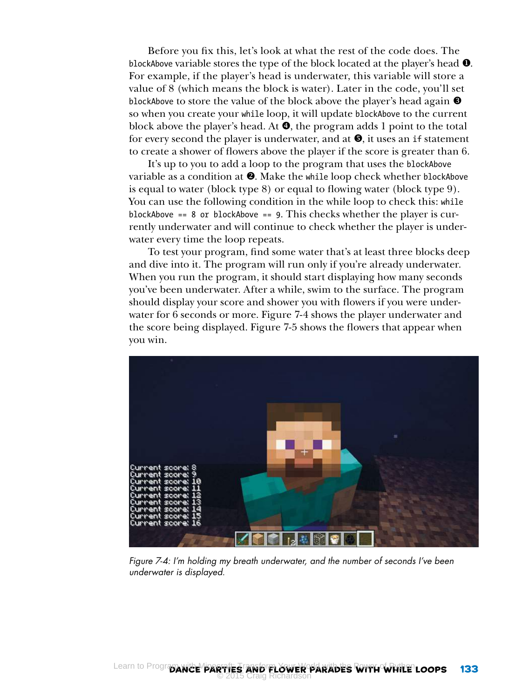Before you fix this, let's look at what the rest of the code does. The blockAbove variable stores the type of the block located at the player's head  $\mathbf{0}$ . For example, if the player's head is underwater, this variable will store a value of 8 (which means the block is water). Later in the code, you'll set blockAbove to store the value of the block above the player's head again  $\bullet$ so when you create your while loop, it will update blockAbove to the current block above the player's head. At  $\bullet$ , the program adds 1 point to the total for every second the player is underwater, and at  $\bullet$ , it uses an if statement to create a shower of flowers above the player if the score is greater than 6.

It's up to you to add a loop to the program that uses the blockAbove variable as a condition at  $\Theta$ . Make the while loop check whether blockAbove is equal to water (block type 8) or equal to flowing water (block type 9). You can use the following condition in the while loop to check this: while blockAbove  $== 8$  or blockAbove  $== 9$ . This checks whether the player is currently underwater and will continue to check whether the player is underwater every time the loop repeats.

To test your program, find some water that's at least three blocks deep and dive into it. The program will run only if you're already underwater. When you run the program, it should start displaying how many seconds you've been underwater. After a while, swim to the surface. The program should display your score and shower you with flowers if you were underwater for 6 seconds or more. Figure 7-4 shows the player underwater and the score being displayed. Figure 7-5 shows the flowers that appear when you win.



*Figure 7-4: I'm holding my breath underwater, and the number of seconds I've been underwater is displayed.*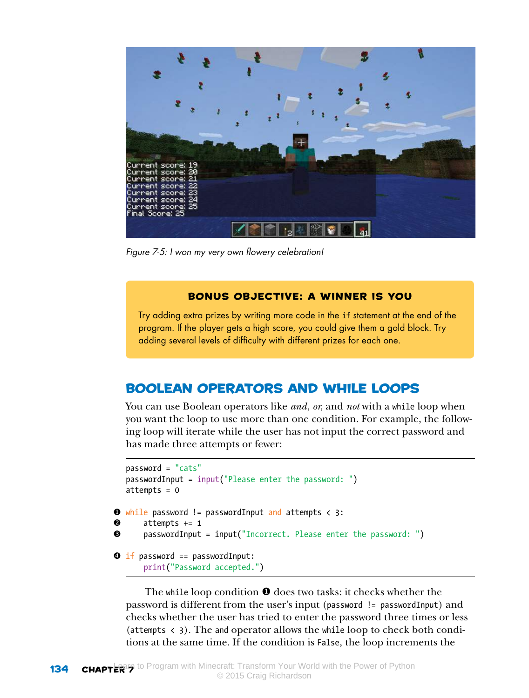

*Figure 7-5: I won my very own flowery celebration!*

#### Bonus Object ive: A Winner Is You

Try adding extra prizes by writing more code in the if statement at the end of the program. If the player gets a high score, you could give them a gold block. Try adding several levels of difficulty with different prizes for each one.

## Boolean Operators and while Loops

You can use Boolean operators like *and*, *or*, and *not* with a while loop when you want the loop to use more than one condition. For example, the following loop will iterate while the user has not input the correct password and has made three attempts or fewer:

```
password = "cats"
  passwordInput = input("Please enter the password: ")
  attempts = 0
\bullet while password != passwordInput and attempts < 3:
\bullet attempts += 1
w passwordInput = input("Incorrect. Please enter the password: ")
```

```
\theta if password == passwordInput:
        print("Password accepted.")
```
The while loop condition  $\bullet$  does two tasks: it checks whether the password is different from the user's input (password != passwordInput) and checks whether the user has tried to enter the password three times or less (attempts  $\langle$  3). The and operator allows the while loop to check both conditions at the same time. If the condition is False, the loop increments the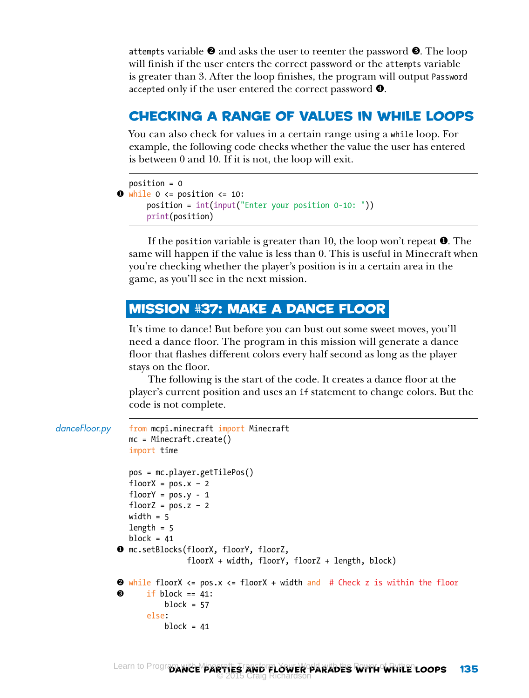attempts variable  $\Theta$  and asks the user to reenter the password  $\Theta$ . The loop will finish if the user enters the correct password or the attempts variable is greater than 3. After the loop finishes, the program will output Password accepted only if the user entered the correct password  $\bullet$ .

## Checking a Range of Values in while Loops

You can also check for values in a certain range using a while loop. For example, the following code checks whether the value the user has entered is between 0 and 10. If it is not, the loop will exit.

```
position = 0
\bullet while 0 \leq position \leq 10:
        position = int(input("Enter your position 0-10: "))
        print(position)
```
If the position variable is greater than 10, the loop won't repeat  $\bullet$ . The same will happen if the value is less than 0. This is useful in Minecraft when you're checking whether the player's position is in a certain area in the game, as you'll see in the next mission.

#### Mission #37: Make a Dance Floor

It's time to dance! But before you can bust out some sweet moves, you'll need a dance floor. The program in this mission will generate a dance floor that flashes different colors every half second as long as the player stays on the floor.

The following is the start of the code. It creates a dance floor at the player's current position and uses an if statement to change colors. But the code is not complete.

```
from mcpi.minecraft import Minecraft
                 mc = Minecraft.create()
                 import time
                 pos = mc.player.getTilePos()
                 floorX = pos.x - 2floorY = pos.y - 1floorZ = pos.z - 2width = 5length = 5block = 41u mc.setBlocks(floorX, floorY, floorZ, 
                               floorX + width, floorY, floorZ + length, block) 
              \Theta while floorX \leq pos.x \leq floorX + width and # Check z is within the floor
              \Theta if block == 41:
                         block = 57 else:
                         hlock = 41danceFloor.py
```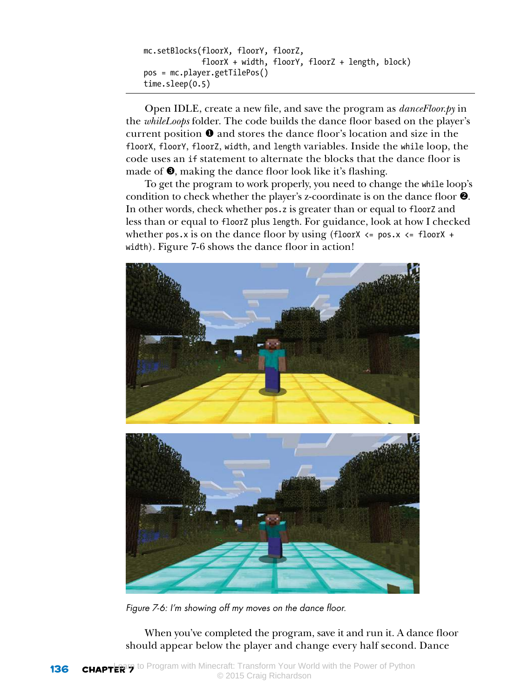```
 mc.setBlocks(floorX, floorY, floorZ, 
              floorX + width, floorY, floorZ + length, block)
 pos = mc.player.getTilePos()
 time.sleep(0.5)
```
Open IDLE, create a new file, and save the program as *danceFloor.py* in the *whileLoops* folder. The code builds the dance floor based on the player's current position  $\bullet$  and stores the dance floor's location and size in the floorX, floorY, floorZ, width, and length variables. Inside the while loop, the code uses an if statement to alternate the blocks that the dance floor is made of  $\Theta$ , making the dance floor look like it's flashing.

To get the program to work properly, you need to change the while loop's condition to check whether the player's z-coordinate is on the dance floor  $\mathbf{Q}$ . In other words, check whether pos.z is greater than or equal to floorZ and less than or equal to floorZ plus length. For guidance, look at how I checked whether pos.x is on the dance floor by using (floor  $x \leq p$ os.x  $\leq$  floor  $x +$ width). Figure 7-6 shows the dance floor in action!



*Figure 7-6: I'm showing off my moves on the dance floor.*

When you've completed the program, save it and run it. A dance floor should appear below the player and change every half second. Dance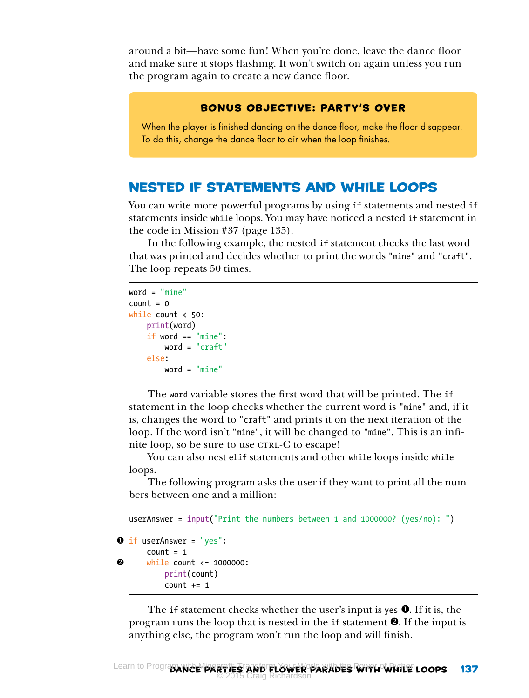around a bit—have some fun! When you're done, leave the dance floor and make sure it stops flashing. It won't switch on again unless you run the program again to create a new dance floor.

#### Bonus Object ive: Party 's Over

When the player is finished dancing on the dance floor, make the floor disappear. To do this, change the dance floor to air when the loop finishes.

#### Nested if Statements and while Loops

You can write more powerful programs by using if statements and nested if statements inside while loops. You may have noticed a nested if statement in the code in Mission #37 (page 135).

In the following example, the nested if statement checks the last word that was printed and decides whether to print the words "mine" and "craft". The loop repeats 50 times.

```
word = "mine"
count = 0while count < 50:
     print(word)
     if word == "mine":
         word = "craft"
     else:
         word = "mine"
```
The word variable stores the first word that will be printed. The if statement in the loop checks whether the current word is "mine" and, if it is, changes the word to "craft" and prints it on the next iteration of the loop. If the word isn't "mine", it will be changed to "mine". This is an infinite loop, so be sure to use CTRL-C to escape!

You can also nest elif statements and other while loops inside while loops.

The following program asks the user if they want to print all the numbers between one and a million:

```
userAnswer = input("Print the numbers between 1 and 1000000? (yes/no): ")
\bullet if userAnswer = "yes":
      count = 1\bullet while count \leq 1000000:
            print(count)
           count += 1
```
The if statement checks whether the user's input is yes  $\bullet$ . If it is, the program runs the loop that is nested in the if statement  $\bullet$ . If the input is anything else, the program won't run the loop and will finish.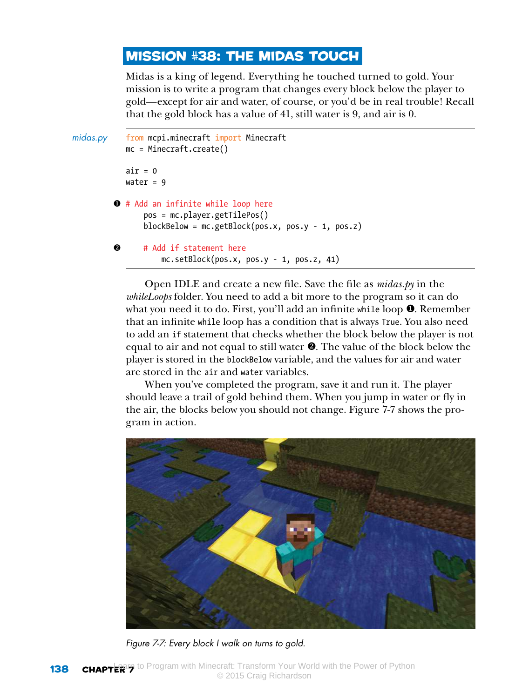#### Mission #38: The Midas Touch

Midas is a king of legend. Everything he touched turned to gold. Your mission is to write a program that changes every block below the player to gold—except for air and water, of course, or you'd be in real trouble! Recall that the gold block has a value of 41, still water is 9, and air is 0.

```
from mcpi.minecraft import Minecraft
            mc = Minecraft.create()
            air = 0water = 9\bullet # Add an infinite while loop here
                 pos = mc.player.getTilePos()
                 blockBelow = mc.getBlock(pos.x, pos.y - 1, pos.z)
         \Theta # Add if statement here
                     mc.setBlock(pos.x, pos.y - 1, pos.z, 41)
midas.py
```
Open IDLE and create a new file. Save the file as *midas.py* in the *whileLoops* folder. You need to add a bit more to the program so it can do what you need it to do. First, you'll add an infinite while loop  $\bullet$ . Remember that an infinite while loop has a condition that is always True. You also need to add an if statement that checks whether the block below the player is not equal to air and not equal to still water  $\bullet$ . The value of the block below the player is stored in the blockBelow variable, and the values for air and water are stored in the air and water variables.

When you've completed the program, save it and run it. The player should leave a trail of gold behind them. When you jump in water or fly in the air, the blocks below you should not change. Figure 7-7 shows the program in action.



*Figure 7-7: Every block I walk on turns to gold.*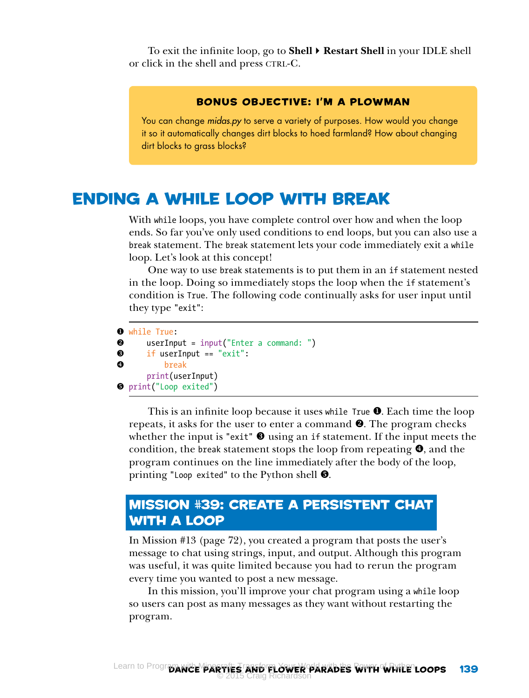To exit the infinite loop, go to **Shell**4**Restart Shell** in your IDLE shell or click in the shell and press CTRL-C.

#### BONUS OBJECTIVE: I'M A PLOWMAN

You can change *midas.py* to serve a variety of purposes. How would you change it so it automatically changes dirt blocks to hoed farmland? How about changing dirt blocks to grass blocks?

# Ending a while Loop with break

With while loops, you have complete control over how and when the loop ends. So far you've only used conditions to end loops, but you can also use a break statement. The break statement lets your code immediately exit a while loop. Let's look at this concept!

One way to use break statements is to put them in an if statement nested in the loop. Doing so immediately stops the loop when the if statement's condition is True. The following code continually asks for user input until they type "exit":

```
O while True:
\bullet userInput = input("Enter a command: ")
\bullet if userInput == "exit":
a break
       print(userInput)
y print("Loop exited")
```
This is an infinite loop because it uses while True  $\bullet$ . Each time the loop repeats, it asks for the user to enter a command  $\bullet$ . The program checks whether the input is "exit"  $\bullet$  using an if statement. If the input meets the condition, the break statement stops the loop from repeating  $\bullet$ , and the program continues on the line immediately after the body of the loop, printing "Loop exited" to the Python shell  $\Theta$ .

## Mission #39: Create a Persistent Chat with a Loop

In Mission #13 (page 72), you created a program that posts the user's message to chat using strings, input, and output. Although this program was useful, it was quite limited because you had to rerun the program every time you wanted to post a new message.

In this mission, you'll improve your chat program using a while loop so users can post as many messages as they want without restarting the program.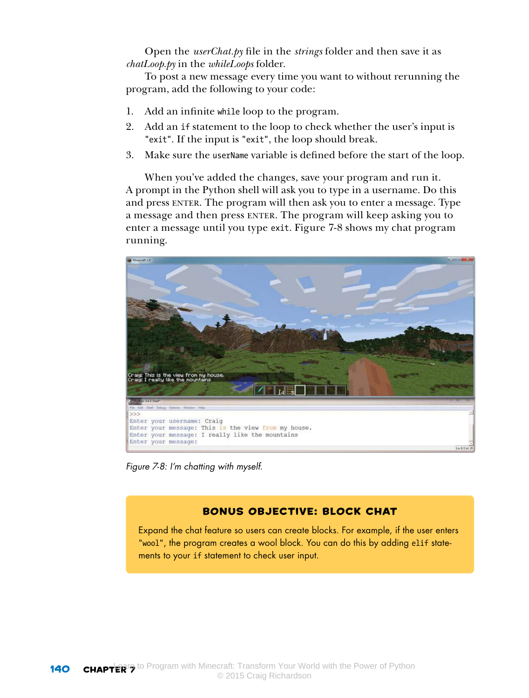Open the *userChat.py* file in the *strings* folder and then save it as *chatLoop.py* in the *whileLoops* folder.

To post a new message every time you want to without rerunning the program, add the following to your code:

- 1. Add an infinite while loop to the program.
- 2. Add an if statement to the loop to check whether the user's input is "exit". If the input is "exit", the loop should break.
- 3. Make sure the userName variable is defined before the start of the loop.

When you've added the changes, save your program and run it. A prompt in the Python shell will ask you to type in a username. Do this and press ENTER. The program will then ask you to enter a message. Type a message and then press ENTER. The program will keep asking you to enter a message until you type exit. Figure 7-8 shows my chat program running.



*Figure 7-8: I'm chatting with myself.*

#### BONUS OBJECTIVE: BLOCK CHAT

Expand the chat feature so users can create blocks. For example, if the user enters "wool", the program creates a wool block. You can do this by adding elif statements to your if statement to check user input.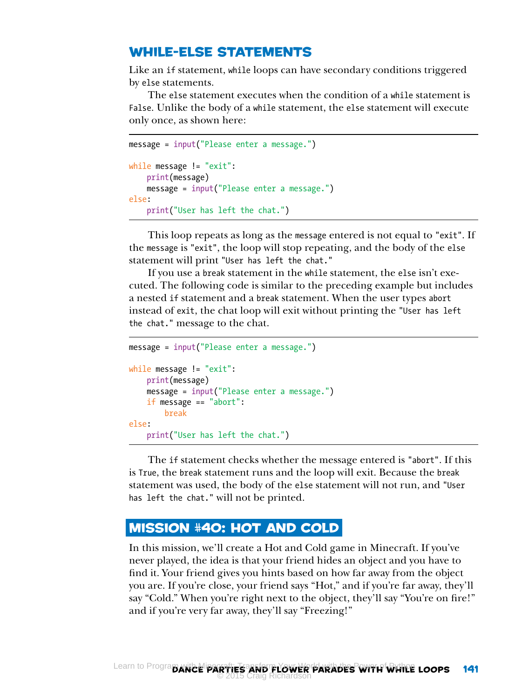#### while-else Statements

Like an if statement, while loops can have secondary conditions triggered by else statements.

The else statement executes when the condition of a while statement is False. Unlike the body of a while statement, the else statement will execute only once, as shown here:

```
message = input("Please enter a message.")
while message != "exit":
     print(message)
     message = input("Please enter a message.")
else:
     print("User has left the chat.")
```
This loop repeats as long as the message entered is not equal to "exit". If the message is "exit", the loop will stop repeating, and the body of the else statement will print "User has left the chat."

If you use a break statement in the while statement, the else isn't executed. The following code is similar to the preceding example but includes a nested if statement and a break statement. When the user types abort instead of exit, the chat loop will exit without printing the "User has left the chat." message to the chat.

```
message = input("Please enter a message.")
while message != "exit":
     print(message)
     message = input("Please enter a message.")
     if message == "abort":
         break
else:
     print("User has left the chat.")
```
The if statement checks whether the message entered is "abort". If this is True, the break statement runs and the loop will exit. Because the break statement was used, the body of the else statement will not run, and "User has left the chat." will not be printed.

#### Mission #40: Hot and Cold

In this mission, we'll create a Hot and Cold game in Minecraft. If you've never played, the idea is that your friend hides an object and you have to find it. Your friend gives you hints based on how far away from the object you are. If you're close, your friend says "Hot," and if you're far away, they'll say "Cold." When you're right next to the object, they'll say "You're on fire!" and if you're very far away, they'll say "Freezing!"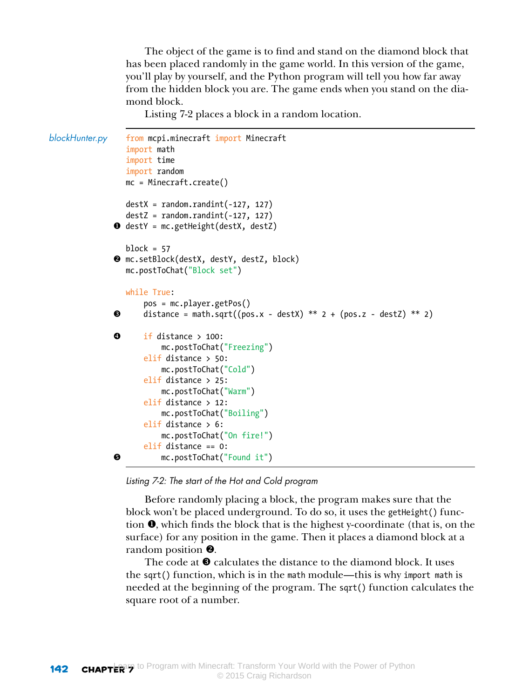The object of the game is to find and stand on the diamond block that has been placed randomly in the game world. In this version of the game, you'll play by yourself, and the Python program will tell you how far away from the hidden block you are. The game ends when you stand on the diamond block.

Listing 7-2 places a block in a random location.

```
from mcpi.minecraft import Minecraft
                 import math
                 import time
                 import random
                 mc = Minecraft.create()
                 destX = random.random( -127, 127)destZ = random.random( -127, 127)\bullet destY = mc.getHeight(destX, destZ)
                 block = 57v mc.setBlock(destX, destY, destZ, block) 
                 mc.postToChat("Block set")
                 while True:
                      pos = mc.player.getPos()
              \Theta distance = math.sqrt((pos.x - destX) ** 2 + (pos.z - destZ) ** 2)
              \bullet if distance > 100:
                          mc.postToChat("Freezing")
                      elif distance > 50:
                          mc.postToChat("Cold")
                      elif distance > 25:
                          mc.postToChat("Warm")
                      elif distance > 12:
                          mc.postToChat("Boiling")
                      elif distance > 6:
                          mc.postToChat("On fire!")
                      elif distance == 0:
              9 mc.postToChat("Found it")
blockHunter.py
```
*Listing 7-2: The start of the Hot and Cold program*

Before randomly placing a block, the program makes sure that the block won't be placed underground. To do so, it uses the getHeight() function  $\bullet$ , which finds the block that is the highest y-coordinate (that is, on the surface) for any position in the game. Then it places a diamond block at a random position  $\bullet$ .

The code at  $\bullet$  calculates the distance to the diamond block. It uses the sqrt() function, which is in the math module—this is why import math is needed at the beginning of the program. The sqrt() function calculates the square root of a number.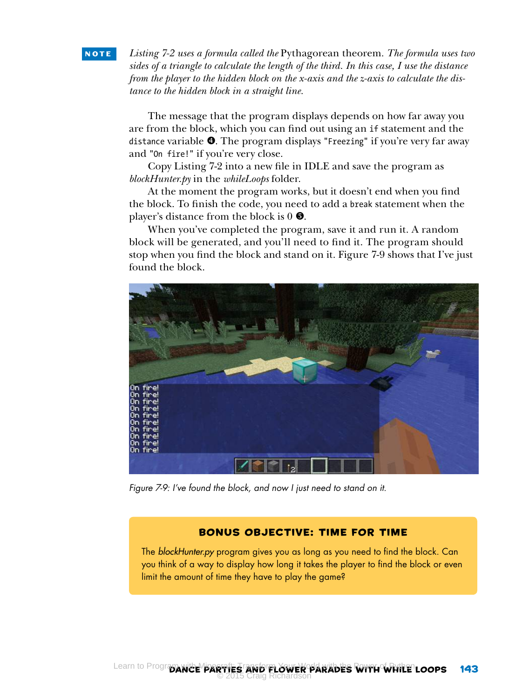**Note** *Listing 7-2 uses a formula called the* Pythagorean theorem*. The formula uses two sides of a triangle to calculate the length of the third. In this case, I use the distance from the player to the hidden block on the x-axis and the z-axis to calculate the distance to the hidden block in a straight line.*

> The message that the program displays depends on how far away you are from the block, which you can find out using an if statement and the distance variable  $\Theta$ . The program displays "Freezing" if you're very far away and "On fire!" if you're very close.

Copy Listing 7-2 into a new file in IDLE and save the program as *blockHunter.py* in the *whileLoops* folder.

At the moment the program works, but it doesn't end when you find the block. To finish the code, you need to add a break statement when the player's distance from the block is  $\theta$ .

When you've completed the program, save it and run it. A random block will be generated, and you'll need to find it. The program should stop when you find the block and stand on it. Figure 7-9 shows that I've just found the block.



*Figure 7-9: I've found the block, and now I just need to stand on it.*

#### BONUS OBJECTIVE: TIME FOR TIME

The *blockHunter.py* program gives you as long as you need to find the block. Can you think of a way to display how long it takes the player to find the block or even limit the amount of time they have to play the game?